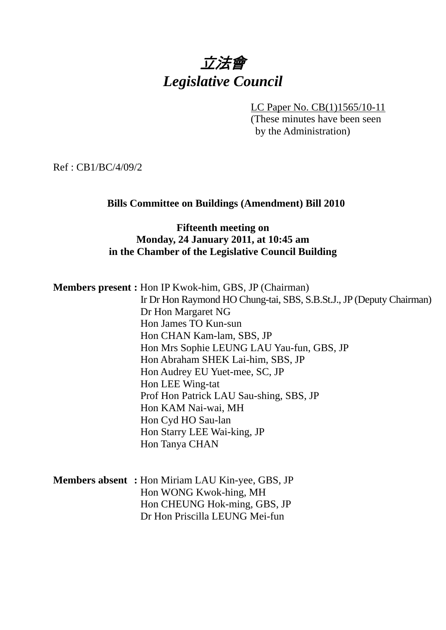# 立法會 *Legislative Council*

LC Paper No. CB(1)1565/10-11

(These minutes have been seen by the Administration)

Ref : CB1/BC/4/09/2

#### **Bills Committee on Buildings (Amendment) Bill 2010**

#### **Fifteenth meeting on Monday, 24 January 2011, at 10:45 am in the Chamber of the Legislative Council Building**

**Members present :** Hon IP Kwok-him, GBS, JP (Chairman)

Ir Dr Hon Raymond HO Chung-tai, SBS, S.B.St.J., JP (Deputy Chairman) Dr Hon Margaret NG Hon James TO Kun-sun Hon CHAN Kam-lam, SBS, JP Hon Mrs Sophie LEUNG LAU Yau-fun, GBS, JP Hon Abraham SHEK Lai-him, SBS, JP Hon Audrey EU Yuet-mee, SC, JP Hon LEE Wing-tat Prof Hon Patrick LAU Sau-shing, SBS, JP Hon KAM Nai-wai, MH Hon Cyd HO Sau-lan Hon Starry LEE Wai-king, JP Hon Tanya CHAN

| <b>Members absent:</b> Hon Miriam LAU Kin-yee, GBS, JP |
|--------------------------------------------------------|
| Hon WONG Kwok-hing, MH                                 |
| Hon CHEUNG Hok-ming, GBS, JP                           |
| Dr Hon Priscilla LEUNG Mei-fun                         |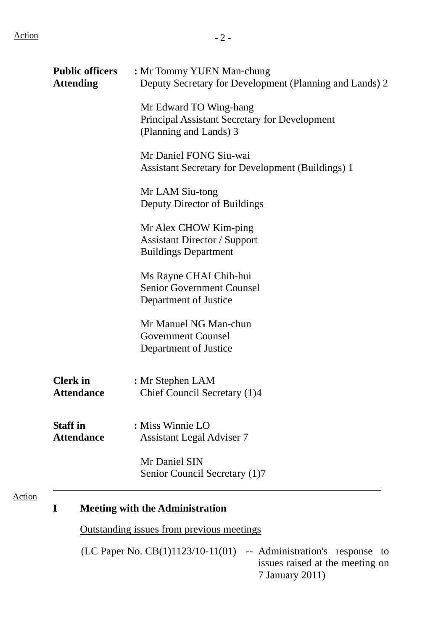Action

| <b>Public officers</b><br><b>Attending</b> | : Mr Tommy YUEN Man-chung<br>Deputy Secretary for Development (Planning and Lands) 2              |
|--------------------------------------------|---------------------------------------------------------------------------------------------------|
|                                            | Mr Edward TO Wing-hang<br>Principal Assistant Secretary for Development<br>(Planning and Lands) 3 |
|                                            | Mr Daniel FONG Siu-wai<br><b>Assistant Secretary for Development (Buildings) 1</b>                |
|                                            | Mr LAM Siu-tong<br>Deputy Director of Buildings                                                   |
|                                            | Mr Alex CHOW Kim-ping<br><b>Assistant Director / Support</b><br><b>Buildings Department</b>       |
|                                            | Ms Rayne CHAI Chih-hui<br><b>Senior Government Counsel</b><br>Department of Justice               |
|                                            | Mr Manuel NG Man-chun<br><b>Government Counsel</b><br>Department of Justice                       |
| <b>Clerk</b> in<br><b>Attendance</b>       | : Mr Stephen LAM<br>Chief Council Secretary (1)4                                                  |
| <b>Staff in</b><br><b>Attendance</b>       | : Miss Winnie LO<br><b>Assistant Legal Adviser 7</b>                                              |
|                                            | Mr Daniel SIN<br>Senior Council Secretary (1)7                                                    |
| I                                          | <b>Meeting with the Administration</b>                                                            |
|                                            | <b>Outstanding issues from previous meetings</b>                                                  |

(LC Paper No. CB(1)1123/10-11(01) -- Administration's response to issues raised at the meeting on 7 January 2011)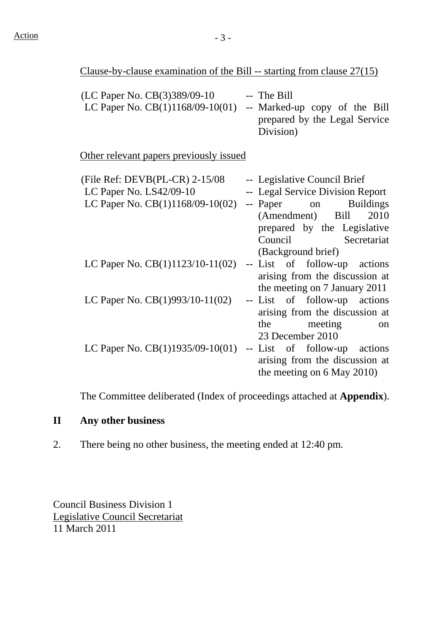Clause-by-clause examination of the Bill -- starting from clause 27(15)

| (LC Paper No. CB(3)389/09-10       | -- The Bill                   |
|------------------------------------|-------------------------------|
| LC Paper No. $CB(1)1168/09-10(01)$ | -- Marked-up copy of the Bill |
|                                    | prepared by the Legal Service |
|                                    | Division)                     |

Other relevant papers previously issued

| (File Ref: $DEVB(PL-CR)$ 2-15/08   | -- Legislative Council Brief     |
|------------------------------------|----------------------------------|
| LC Paper No. LS42/09-10            | -- Legal Service Division Report |
| LC Paper No. $CB(1)1168/09-10(02)$ | -- Paper on Buildings            |
|                                    | (Amendment) Bill<br>2010         |
|                                    | prepared by the Legislative      |
|                                    | Council Secretariat              |
|                                    | (Background brief)               |
| LC Paper No. $CB(1)1123/10-11(02)$ | -- List of follow-up actions     |
|                                    | arising from the discussion at   |
|                                    | the meeting on 7 January 2011    |
| LC Paper No. $CB(1)993/10-11(02)$  | -- List of follow-up actions     |
|                                    | arising from the discussion at   |
|                                    | the meeting<br>on                |
|                                    | 23 December 2010                 |
| LC Paper No. $CB(1)1935/09-10(01)$ | -- List of follow-up actions     |
|                                    | arising from the discussion at   |
|                                    | the meeting on 6 May 2010)       |
|                                    |                                  |

The Committee deliberated (Index of proceedings attached at **Appendix**).

#### **II Any other business**

2. There being no other business, the meeting ended at 12:40 pm.

Council Business Division 1 Legislative Council Secretariat 11 March 2011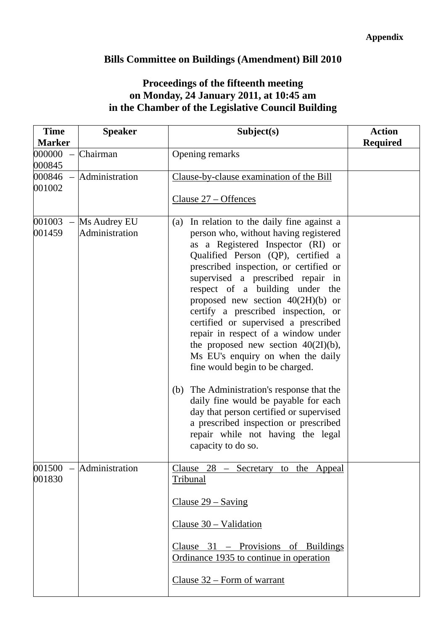## **Bills Committee on Buildings (Amendment) Bill 2010**

### **Proceedings of the fifteenth meeting on Monday, 24 January 2011, at 10:45 am in the Chamber of the Legislative Council Building**

| <b>Time</b><br><b>Marker</b> | <b>Speaker</b>                 | Subject(s)                                                                                                                                                                                                                                                                                                                                                                                                                                                                                                                                                                                                                                                                                                                                                                                                  | <b>Action</b><br><b>Required</b> |
|------------------------------|--------------------------------|-------------------------------------------------------------------------------------------------------------------------------------------------------------------------------------------------------------------------------------------------------------------------------------------------------------------------------------------------------------------------------------------------------------------------------------------------------------------------------------------------------------------------------------------------------------------------------------------------------------------------------------------------------------------------------------------------------------------------------------------------------------------------------------------------------------|----------------------------------|
| 000000<br>000845             | Chairman                       | Opening remarks                                                                                                                                                                                                                                                                                                                                                                                                                                                                                                                                                                                                                                                                                                                                                                                             |                                  |
| $000846 -$<br>001002         | Administration                 | Clause-by-clause examination of the Bill<br>Clause 27 – Offences                                                                                                                                                                                                                                                                                                                                                                                                                                                                                                                                                                                                                                                                                                                                            |                                  |
| 001003<br>001459             | Ms Audrey EU<br>Administration | In relation to the daily fine against a<br>(a)<br>person who, without having registered<br>as a Registered Inspector (RI) or<br>Qualified Person (QP), certified a<br>prescribed inspection, or certified or<br>supervised a prescribed repair in<br>respect of a building under the<br>proposed new section $40(2H)(b)$ or<br>certify a prescribed inspection, or<br>certified or supervised a prescribed<br>repair in respect of a window under<br>the proposed new section $40(2I)(b)$ ,<br>Ms EU's enquiry on when the daily<br>fine would begin to be charged.<br>The Administration's response that the<br>(b)<br>daily fine would be payable for each<br>day that person certified or supervised<br>a prescribed inspection or prescribed<br>repair while not having the legal<br>capacity to do so. |                                  |
| 001830                       | $001500$ - Administration      | Clause $28$ – Secretary to the Appeal<br>Tribunal<br>Clause $29 -$ Saving<br>Clause $30 -$ Validation<br>Clause 31 – Provisions of Buildings<br>Ordinance 1935 to continue in operation<br>Clause 32 – Form of warrant                                                                                                                                                                                                                                                                                                                                                                                                                                                                                                                                                                                      |                                  |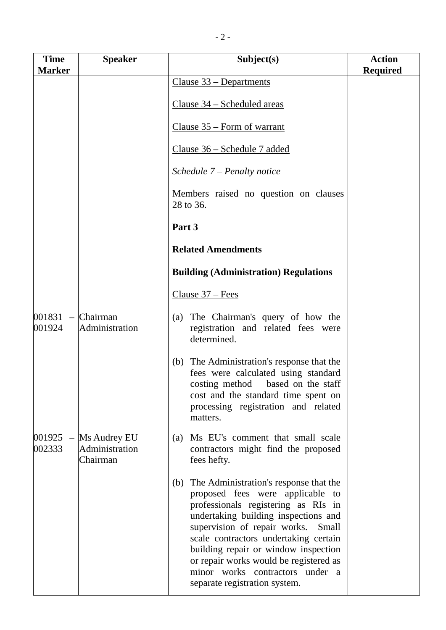| <b>Time</b><br><b>Marker</b> | <b>Speaker</b>                             | Subject(s)                                                                                                                                                                                                                                                                                                                                                                                               | <b>Action</b><br><b>Required</b> |
|------------------------------|--------------------------------------------|----------------------------------------------------------------------------------------------------------------------------------------------------------------------------------------------------------------------------------------------------------------------------------------------------------------------------------------------------------------------------------------------------------|----------------------------------|
|                              |                                            | Clause 33 – Departments                                                                                                                                                                                                                                                                                                                                                                                  |                                  |
|                              |                                            | <u>Clause 34 – Scheduled areas</u>                                                                                                                                                                                                                                                                                                                                                                       |                                  |
|                              |                                            | Clause $35$ – Form of warrant                                                                                                                                                                                                                                                                                                                                                                            |                                  |
|                              |                                            | Clause 36 – Schedule 7 added                                                                                                                                                                                                                                                                                                                                                                             |                                  |
|                              |                                            | Schedule 7 – Penalty notice                                                                                                                                                                                                                                                                                                                                                                              |                                  |
|                              |                                            | Members raised no question on clauses<br>28 to 36.                                                                                                                                                                                                                                                                                                                                                       |                                  |
|                              |                                            | Part 3                                                                                                                                                                                                                                                                                                                                                                                                   |                                  |
|                              |                                            | <b>Related Amendments</b>                                                                                                                                                                                                                                                                                                                                                                                |                                  |
|                              |                                            | <b>Building (Administration) Regulations</b>                                                                                                                                                                                                                                                                                                                                                             |                                  |
|                              |                                            | Clause $37 - Fees$                                                                                                                                                                                                                                                                                                                                                                                       |                                  |
| 001831<br>001924             | Chairman<br>Administration                 | The Chairman's query of how the<br>(a)<br>registration and related fees were<br>determined.                                                                                                                                                                                                                                                                                                              |                                  |
|                              |                                            | (b) The Administration's response that the<br>fees were calculated using standard<br>costing method based on the staff<br>cost and the standard time spent on<br>processing registration and related<br>matters.                                                                                                                                                                                         |                                  |
| $001925 -$<br>002333         | Ms Audrey EU<br>Administration<br>Chairman | Ms EU's comment that small scale<br>(a)<br>contractors might find the proposed<br>fees hefty.                                                                                                                                                                                                                                                                                                            |                                  |
|                              |                                            | The Administration's response that the<br>(b)<br>proposed fees were applicable to<br>professionals registering as RIs in<br>undertaking building inspections and<br>supervision of repair works.<br>Small<br>scale contractors undertaking certain<br>building repair or window inspection<br>or repair works would be registered as<br>minor works contractors under a<br>separate registration system. |                                  |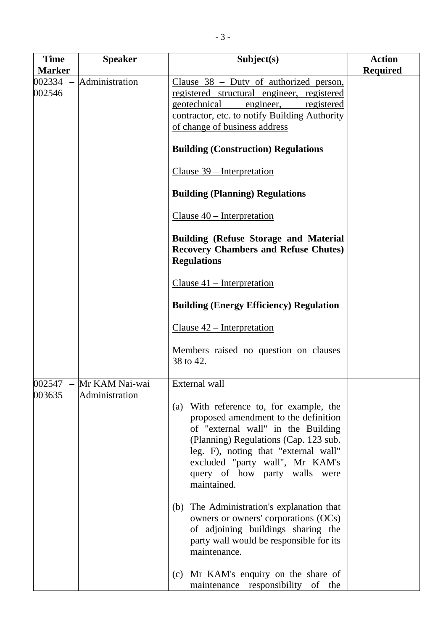| <b>Time</b><br><b>Marker</b> | <b>Speaker</b>                              | Subject(s)                                                                                                                                                                                                                                                                                                                                                                                                                                                                                                                                                                                                                                | <b>Action</b><br><b>Required</b> |
|------------------------------|---------------------------------------------|-------------------------------------------------------------------------------------------------------------------------------------------------------------------------------------------------------------------------------------------------------------------------------------------------------------------------------------------------------------------------------------------------------------------------------------------------------------------------------------------------------------------------------------------------------------------------------------------------------------------------------------------|----------------------------------|
| 002334<br>002546             | Administration                              | Clause $38$ – Duty of authorized person,<br>registered structural engineer, registered<br>geotechnical<br>engineer,<br>registered<br>contractor, etc. to notify Building Authority<br>of change of business address<br><b>Building (Construction) Regulations</b><br>Clause 39 – Interpretation<br><b>Building (Planning) Regulations</b><br>Clause $40$ – Interpretation<br><b>Building (Refuse Storage and Material</b><br><b>Recovery Chambers and Refuse Chutes)</b><br><b>Regulations</b><br>Clause $41$ – Interpretation<br><b>Building (Energy Efficiency) Regulation</b><br>Clause $42$ – Interpretation                          |                                  |
| 003635                       | $002547$ – Mr KAM Nai-wai<br>Administration | Members raised no question on clauses<br>38 to 42.<br>External wall<br>With reference to, for example, the<br>(a)<br>proposed amendment to the definition<br>of "external wall" in the Building<br>(Planning) Regulations (Cap. 123 sub.<br>leg. F), noting that "external wall"<br>excluded "party wall", Mr KAM's<br>query of how party walls were<br>maintained.<br>(b) The Administration's explanation that<br>owners or owners' corporations (OCs)<br>of adjoining buildings sharing the<br>party wall would be responsible for its<br>maintenance.<br>(c) Mr KAM's enquiry on the share of<br>maintenance responsibility<br>of the |                                  |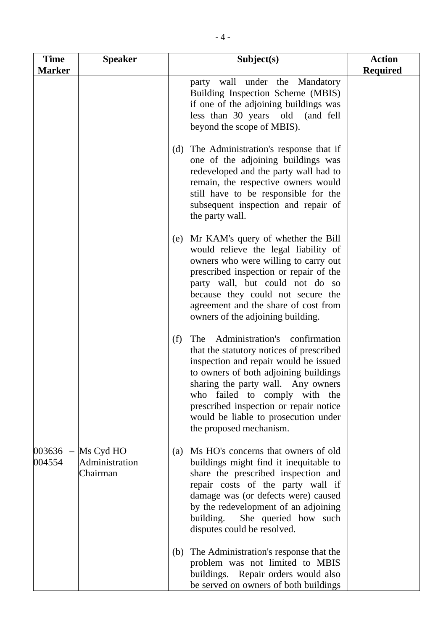| <b>Time</b><br><b>Marker</b> | <b>Speaker</b>                          | Subject(s)                                                                                                                                                                                                                                                                                                                                                       | <b>Action</b><br><b>Required</b> |
|------------------------------|-----------------------------------------|------------------------------------------------------------------------------------------------------------------------------------------------------------------------------------------------------------------------------------------------------------------------------------------------------------------------------------------------------------------|----------------------------------|
|                              |                                         | party wall under the Mandatory<br>Building Inspection Scheme (MBIS)<br>if one of the adjoining buildings was<br>less than 30 years old (and fell<br>beyond the scope of MBIS).                                                                                                                                                                                   |                                  |
|                              |                                         | (d) The Administration's response that if<br>one of the adjoining buildings was<br>redeveloped and the party wall had to<br>remain, the respective owners would<br>still have to be responsible for the<br>subsequent inspection and repair of<br>the party wall.                                                                                                |                                  |
|                              |                                         | Mr KAM's query of whether the Bill<br>(e)<br>would relieve the legal liability of<br>owners who were willing to carry out<br>prescribed inspection or repair of the<br>party wall, but could not do so<br>because they could not secure the<br>agreement and the share of cost from<br>owners of the adjoining building.                                         |                                  |
|                              |                                         | Administration's<br>confirmation<br>(f)<br>The<br>that the statutory notices of prescribed<br>inspection and repair would be issued<br>to owners of both adjoining buildings<br>sharing the party wall. Any owners<br>who failed to comply with the<br>prescribed inspection or repair notice<br>would be liable to prosecution under<br>the proposed mechanism. |                                  |
| $003636 -$<br>004554         | Ms Cyd HO<br>Administration<br>Chairman | Ms HO's concerns that owners of old<br>(a)<br>buildings might find it inequitable to<br>share the prescribed inspection and<br>repair costs of the party wall if<br>damage was (or defects were) caused<br>by the redevelopment of an adjoining<br>building.<br>She queried how such<br>disputes could be resolved.                                              |                                  |
|                              |                                         | The Administration's response that the<br>(b)<br>problem was not limited to MBIS<br>buildings. Repair orders would also<br>be served on owners of both buildings                                                                                                                                                                                                 |                                  |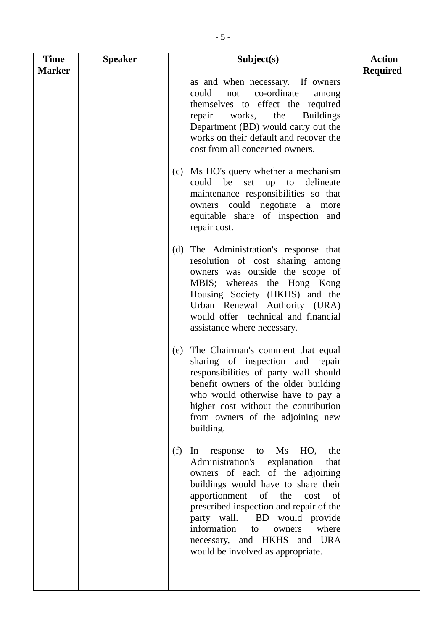| <b>Time</b><br><b>Marker</b> | <b>Speaker</b> | Subject(s)                                                                                                                                                                                                                                                                                                                                                                                             | <b>Action</b><br><b>Required</b> |
|------------------------------|----------------|--------------------------------------------------------------------------------------------------------------------------------------------------------------------------------------------------------------------------------------------------------------------------------------------------------------------------------------------------------------------------------------------------------|----------------------------------|
|                              |                | as and when necessary. If owners<br>could<br>co-ordinate<br>not<br>among<br>themselves to effect the required<br><b>Buildings</b><br>repair<br>works,<br>the<br>Department (BD) would carry out the<br>works on their default and recover the<br>cost from all concerned owners.<br>Ms HO's query whether a mechanism<br>(c)                                                                           |                                  |
|                              |                | could be<br>set up to delineate<br>maintenance responsibilities so that<br>owners could negotiate a more<br>equitable share of inspection and<br>repair cost.                                                                                                                                                                                                                                          |                                  |
|                              |                | (d) The Administration's response that<br>resolution of cost sharing among<br>owners was outside the scope of<br>MBIS; whereas the Hong Kong<br>Housing Society (HKHS) and the<br>Urban Renewal Authority (URA)<br>would offer technical and financial<br>assistance where necessary.                                                                                                                  |                                  |
|                              |                | The Chairman's comment that equal<br>(e)<br>sharing of inspection and repair<br>responsibilities of party wall should<br>benefit owners of the older building<br>who would otherwise have to pay a<br>higher cost without the contribution<br>from owners of the adjoining new<br>building.                                                                                                            |                                  |
|                              |                | (f)<br>Ms<br>HO,<br>response<br>the<br>to<br>$\ln$<br>Administration's<br>explanation<br>that<br>owners of each of the adjoining<br>buildings would have to share their<br>apportionment<br>of the cost<br>- of<br>prescribed inspection and repair of the<br>party wall. BD would provide<br>information<br>where<br>to<br>owners<br>necessary, and HKHS and URA<br>would be involved as appropriate. |                                  |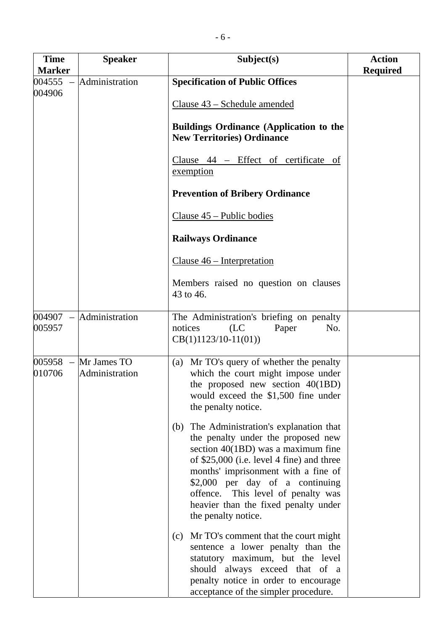| <b>Time</b><br><b>Marker</b> | <b>Speaker</b>                           | Subject(s)                                                                                                                                                                                                                                                                                                                                             | <b>Action</b><br><b>Required</b> |
|------------------------------|------------------------------------------|--------------------------------------------------------------------------------------------------------------------------------------------------------------------------------------------------------------------------------------------------------------------------------------------------------------------------------------------------------|----------------------------------|
| 004555                       | Administration                           | <b>Specification of Public Offices</b>                                                                                                                                                                                                                                                                                                                 |                                  |
| 004906                       |                                          | Clause 43 – Schedule amended                                                                                                                                                                                                                                                                                                                           |                                  |
|                              |                                          | <b>Buildings Ordinance (Application to the</b><br><b>New Territories) Ordinance</b>                                                                                                                                                                                                                                                                    |                                  |
|                              |                                          | Clause 44 - Effect of certificate of<br>exemption                                                                                                                                                                                                                                                                                                      |                                  |
|                              |                                          | <b>Prevention of Bribery Ordinance</b>                                                                                                                                                                                                                                                                                                                 |                                  |
|                              |                                          | Clause 45 – Public bodies                                                                                                                                                                                                                                                                                                                              |                                  |
|                              |                                          | <b>Railways Ordinance</b>                                                                                                                                                                                                                                                                                                                              |                                  |
|                              |                                          | Clause $46$ – Interpretation                                                                                                                                                                                                                                                                                                                           |                                  |
|                              |                                          | Members raised no question on clauses<br>43 to 46.                                                                                                                                                                                                                                                                                                     |                                  |
| 004907<br>$\equiv$<br>005957 | Administration                           | The Administration's briefing on penalty<br>notices<br>(LC)<br>Paper<br>No.<br>$CB(1)1123/10-11(01))$                                                                                                                                                                                                                                                  |                                  |
| 010706                       | $005958 - Mr James TO$<br>Administration | (a) Mr TO's query of whether the penalty<br>which the court might impose under<br>the proposed new section 40(1BD)<br>would exceed the \$1,500 fine under<br>the penalty notice.                                                                                                                                                                       |                                  |
|                              |                                          | The Administration's explanation that<br>(b)<br>the penalty under the proposed new<br>section $40(1BD)$ was a maximum fine<br>of \$25,000 (i.e. level 4 fine) and three<br>months' imprisonment with a fine of<br>\$2,000 per day of a continuing<br>offence. This level of penalty was<br>heavier than the fixed penalty under<br>the penalty notice. |                                  |
|                              |                                          | Mr TO's comment that the court might<br>(c)<br>sentence a lower penalty than the<br>statutory maximum, but the level<br>should always exceed that of a<br>penalty notice in order to encourage<br>acceptance of the simpler procedure.                                                                                                                 |                                  |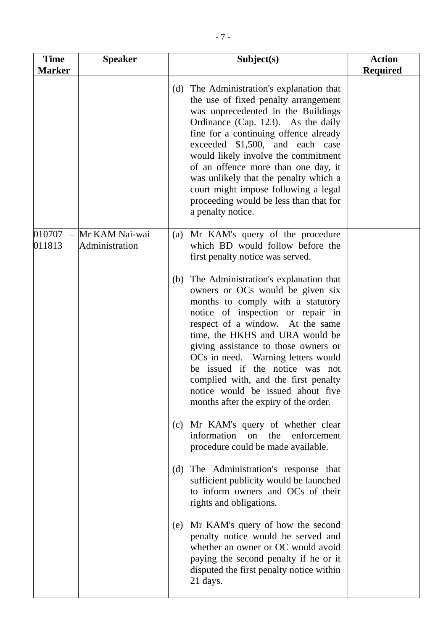| <b>Time</b><br><b>Marker</b>      | <b>Speaker</b>                   | Subject(s)                                                                                                                                                                                                                                                                                                                                                                                                                                                                 | <b>Action</b><br><b>Required</b> |
|-----------------------------------|----------------------------------|----------------------------------------------------------------------------------------------------------------------------------------------------------------------------------------------------------------------------------------------------------------------------------------------------------------------------------------------------------------------------------------------------------------------------------------------------------------------------|----------------------------------|
|                                   |                                  | The Administration's explanation that<br>(d)<br>the use of fixed penalty arrangement<br>was unprecedented in the Buildings<br>Ordinance (Cap. 123). As the daily<br>fine for a continuing offence already<br>exceeded \$1,500, and each case<br>would likely involve the commitment<br>of an offence more than one day, it<br>was unlikely that the penalty which a<br>court might impose following a legal<br>proceeding would be less than that for<br>a penalty notice. |                                  |
| 010707<br>$\frac{1}{2}$<br>011813 | Mr KAM Nai-wai<br>Administration | Mr KAM's query of the procedure<br>(a)<br>which BD would follow before the<br>first penalty notice was served.                                                                                                                                                                                                                                                                                                                                                             |                                  |
|                                   |                                  | The Administration's explanation that<br>(b)<br>owners or OCs would be given six<br>months to comply with a statutory<br>notice of inspection or repair in<br>respect of a window. At the same<br>time, the HKHS and URA would be<br>giving assistance to those owners or<br>OCs in need. Warning letters would<br>be issued if the notice was not<br>complied with, and the first penalty<br>notice would be issued about five<br>months after the expiry of the order.   |                                  |
|                                   |                                  | (c) Mr KAM's query of whether clear<br>information<br>the<br>enforcement<br>on<br>procedure could be made available.                                                                                                                                                                                                                                                                                                                                                       |                                  |
|                                   |                                  | The Administration's response that<br>(d)<br>sufficient publicity would be launched<br>to inform owners and OCs of their<br>rights and obligations.                                                                                                                                                                                                                                                                                                                        |                                  |
|                                   |                                  | Mr KAM's query of how the second<br>(e)<br>penalty notice would be served and<br>whether an owner or OC would avoid<br>paying the second penalty if he or it<br>disputed the first penalty notice within<br>21 days.                                                                                                                                                                                                                                                       |                                  |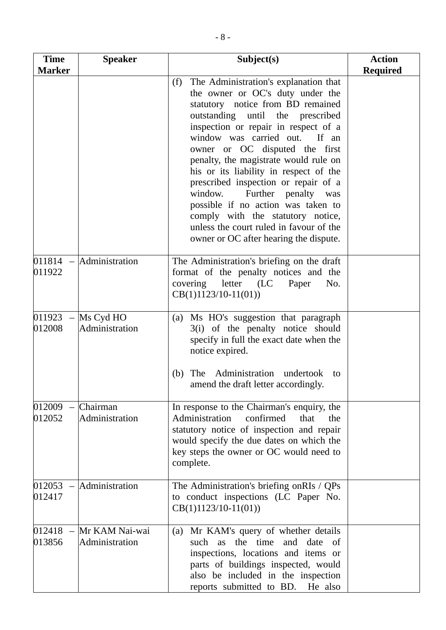| <b>Time</b><br><b>Marker</b> | <b>Speaker</b>                         | Subject(s)                                                                                                                                                                                                                                                                                                                                                                                                                                                                                                                                                                                           | <b>Action</b><br><b>Required</b> |
|------------------------------|----------------------------------------|------------------------------------------------------------------------------------------------------------------------------------------------------------------------------------------------------------------------------------------------------------------------------------------------------------------------------------------------------------------------------------------------------------------------------------------------------------------------------------------------------------------------------------------------------------------------------------------------------|----------------------------------|
|                              |                                        | The Administration's explanation that<br>(f)<br>the owner or OC's duty under the<br>statutory notice from BD remained<br>outstanding until the prescribed<br>inspection or repair in respect of a<br>window was carried out.<br>If an<br>owner or OC disputed the first<br>penalty, the magistrate would rule on<br>his or its liability in respect of the<br>prescribed inspection or repair of a<br>Further penalty was<br>window.<br>possible if no action was taken to<br>comply with the statutory notice,<br>unless the court ruled in favour of the<br>owner or OC after hearing the dispute. |                                  |
| 011922                       | $011814$ – Administration              | The Administration's briefing on the draft<br>format of the penalty notices and the<br>covering letter (LC<br>Paper<br>No.<br>$CB(1)1123/10-11(01))$                                                                                                                                                                                                                                                                                                                                                                                                                                                 |                                  |
| 012008                       | $011923 -$ Ms Cyd HO<br>Administration | (a) Ms HO's suggestion that paragraph<br>3(i) of the penalty notice should<br>specify in full the exact date when the<br>notice expired.<br>Administration<br>The<br>undertook to<br>(b)<br>amend the draft letter accordingly.                                                                                                                                                                                                                                                                                                                                                                      |                                  |
| 012009<br>012052             | Chairman<br>Administration             | In response to the Chairman's enquiry, the<br>Administration<br>confirmed<br>that<br>the<br>statutory notice of inspection and repair<br>would specify the due dates on which the<br>key steps the owner or OC would need to<br>complete.                                                                                                                                                                                                                                                                                                                                                            |                                  |
| $012053 -$<br>012417         | Administration                         | The Administration's briefing onRIs / QPs<br>to conduct inspections (LC Paper No.<br>$CB(1)1123/10-11(01))$                                                                                                                                                                                                                                                                                                                                                                                                                                                                                          |                                  |
| $012418 -$<br>013856         | Mr KAM Nai-wai<br>Administration       | Mr KAM's query of whether details<br>(a)<br>such as the time<br>and date<br><sub>of</sub><br>inspections, locations and items or<br>parts of buildings inspected, would<br>also be included in the inspection<br>reports submitted to BD.<br>He also                                                                                                                                                                                                                                                                                                                                                 |                                  |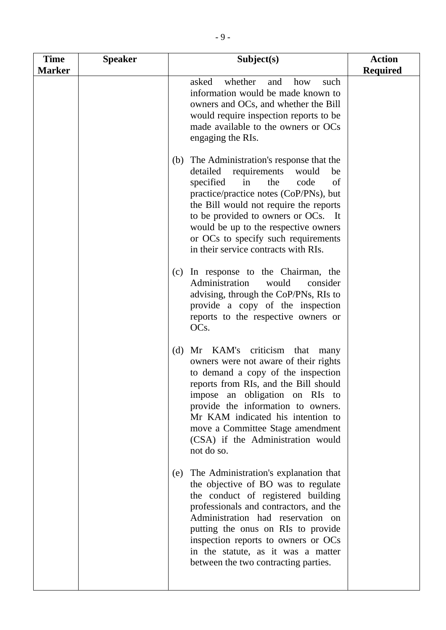| <b>Time</b><br><b>Marker</b> | <b>Speaker</b> | Subject(s)                                                                                                                                                                                                                                                                                                                                                                      | <b>Action</b><br><b>Required</b> |
|------------------------------|----------------|---------------------------------------------------------------------------------------------------------------------------------------------------------------------------------------------------------------------------------------------------------------------------------------------------------------------------------------------------------------------------------|----------------------------------|
|                              |                | asked<br>whether<br>and<br>how<br>such<br>information would be made known to<br>owners and OCs, and whether the Bill<br>would require inspection reports to be<br>made available to the owners or OCs<br>engaging the RIs.                                                                                                                                                      |                                  |
|                              |                | (b) The Administration's response that the<br>detailed<br>requirements<br>would<br>be<br>specified<br>in<br>the<br>code<br>of<br>practice/practice notes (CoP/PNs), but<br>the Bill would not require the reports<br>to be provided to owners or OCs. It<br>would be up to the respective owners<br>or OCs to specify such requirements<br>in their service contracts with RIs. |                                  |
|                              |                | In response to the Chairman, the<br>(c)<br>Administration<br>would<br>consider<br>advising, through the CoP/PNs, RIs to<br>provide a copy of the inspection<br>reports to the respective owners or<br>OC <sub>s</sub> .                                                                                                                                                         |                                  |
|                              |                | (d)<br>Mr KAM's criticism that<br>many<br>owners were not aware of their rights<br>to demand a copy of the inspection<br>reports from RIs, and the Bill should<br>impose an obligation on RIs to<br>provide the information to owners.<br>Mr KAM indicated his intention to<br>move a Committee Stage amendment<br>(CSA) if the Administration would<br>not do so.              |                                  |
|                              |                | The Administration's explanation that<br>(e)<br>the objective of BO was to regulate<br>the conduct of registered building<br>professionals and contractors, and the<br>Administration had reservation on<br>putting the onus on RIs to provide<br>inspection reports to owners or OCs<br>in the statute, as it was a matter<br>between the two contracting parties.             |                                  |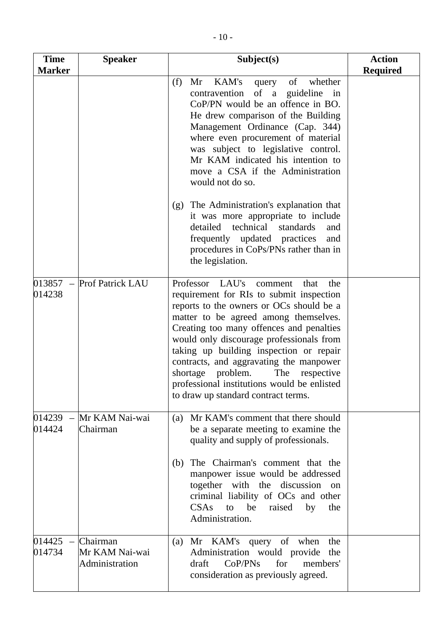| <b>Time</b><br><b>Marker</b> | <b>Speaker</b>                               | Subject(s)                                                                                                                                                                                                                                                                                                                                                                                                                                                                                  | <b>Action</b><br><b>Required</b> |
|------------------------------|----------------------------------------------|---------------------------------------------------------------------------------------------------------------------------------------------------------------------------------------------------------------------------------------------------------------------------------------------------------------------------------------------------------------------------------------------------------------------------------------------------------------------------------------------|----------------------------------|
|                              |                                              | KAM's<br>(f)<br>of<br>whether<br>Mr<br>query<br>contravention<br>of a guideline in<br>CoP/PN would be an offence in BO.<br>He drew comparison of the Building<br>Management Ordinance (Cap. 344)<br>where even procurement of material<br>was subject to legislative control.<br>Mr KAM indicated his intention to<br>move a CSA if the Administration<br>would not do so.                                                                                                                  |                                  |
|                              |                                              | The Administration's explanation that<br>(g)<br>it was more appropriate to include<br>detailed technical<br>standards<br>and<br>frequently updated practices<br>and<br>procedures in CoPs/PNs rather than in<br>the legislation.                                                                                                                                                                                                                                                            |                                  |
| $013857 -$<br>014238         | <b>Prof Patrick LAU</b>                      | Professor LAU's<br>that<br>the<br>comment<br>requirement for RIs to submit inspection<br>reports to the owners or OCs should be a<br>matter to be agreed among themselves.<br>Creating too many offences and penalties<br>would only discourage professionals from<br>taking up building inspection or repair<br>contracts, and aggravating the manpower<br>problem.<br>shortage<br>The<br>respective<br>professional institutions would be enlisted<br>to draw up standard contract terms. |                                  |
| $014239 -$<br>014424         | Mr KAM Nai-wai<br>Chairman                   | (a) Mr KAM's comment that there should<br>be a separate meeting to examine the<br>quality and supply of professionals.<br>The Chairman's comment that the<br>(b)<br>manpower issue would be addressed<br>together with the discussion on<br>criminal liability of OCs and other<br>CSAs to be<br>raised<br>by<br>the<br>Administration.                                                                                                                                                     |                                  |
| $014425 -$<br>014734         | Chairman<br>Mr KAM Nai-wai<br>Administration | Mr KAM's query of when<br>the<br>(a)<br>Administration would provide the<br>for<br>CoP/PNs<br>members'<br>draft<br>consideration as previously agreed.                                                                                                                                                                                                                                                                                                                                      |                                  |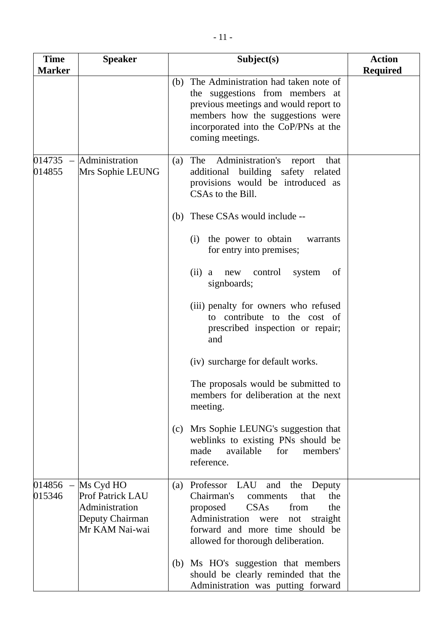| <b>Time</b>          | <b>Speaker</b>                                                                              | Subject(s)                                                                                                                                                                                                                                                                                                                                                                                                                                                                                                                                                                                                                                                                                                          | <b>Action</b>   |
|----------------------|---------------------------------------------------------------------------------------------|---------------------------------------------------------------------------------------------------------------------------------------------------------------------------------------------------------------------------------------------------------------------------------------------------------------------------------------------------------------------------------------------------------------------------------------------------------------------------------------------------------------------------------------------------------------------------------------------------------------------------------------------------------------------------------------------------------------------|-----------------|
| <b>Marker</b>        |                                                                                             | The Administration had taken note of<br>(b)<br>the suggestions from members at<br>previous meetings and would report to<br>members how the suggestions were<br>incorporated into the CoP/PNs at the<br>coming meetings.                                                                                                                                                                                                                                                                                                                                                                                                                                                                                             | <b>Required</b> |
| 014735<br>014855     | Administration<br>Mrs Sophie LEUNG                                                          | Administration's<br>The<br>(a)<br>report<br>that<br>additional building safety related<br>provisions would be introduced as<br>CSAs to the Bill.<br>These CSAs would include --<br>(b)<br>the power to obtain<br>(i)<br>warrants<br>for entry into premises;<br>(ii) a<br>control<br>system<br>of<br>new<br>signboards;<br>(iii) penalty for owners who refused<br>to contribute to the cost of<br>prescribed inspection or repair;<br>and<br>(iv) surcharge for default works.<br>The proposals would be submitted to<br>members for deliberation at the next<br>meeting.<br>Mrs Sophie LEUNG's suggestion that<br>(c)<br>weblinks to existing PNs should be<br>for<br>made<br>available<br>members'<br>reference. |                 |
| $014856 -$<br>015346 | Ms Cyd HO<br><b>Prof Patrick LAU</b><br>Administration<br>Deputy Chairman<br>Mr KAM Nai-wai | Professor LAU<br>and the Deputy<br>(a)<br>Chairman's<br>the<br>that<br>comments<br>proposed CSAs<br>the<br>from<br>Administration were<br>straight<br>not<br>forward and more time should be<br>allowed for thorough deliberation.<br>Ms HO's suggestion that members<br>(b)<br>should be clearly reminded that the<br>Administration was putting forward                                                                                                                                                                                                                                                                                                                                                           |                 |